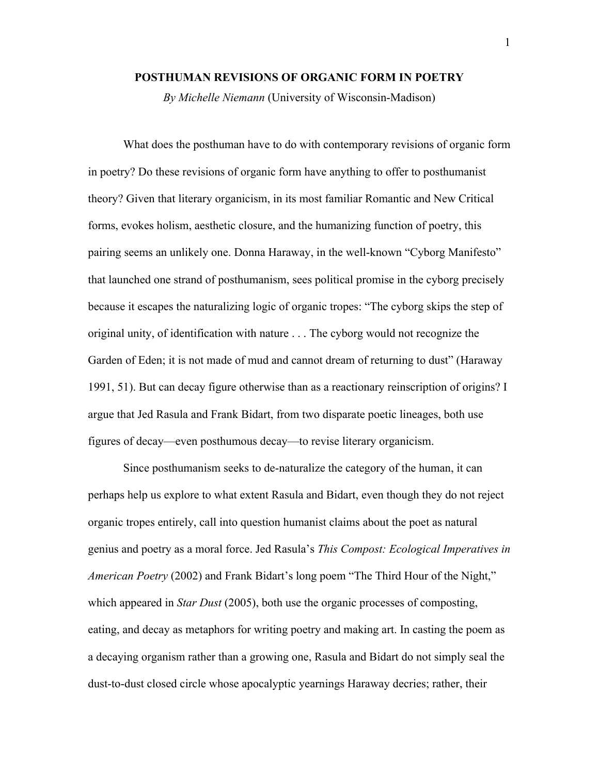## **POSTHUMAN REVISIONS OF ORGANIC FORM IN POETRY**

*By Michelle Niemann* (University of Wisconsin-Madison)

What does the posthuman have to do with contemporary revisions of organic form in poetry? Do these revisions of organic form have anything to offer to posthumanist theory? Given that literary organicism, in its most familiar Romantic and New Critical forms, evokes holism, aesthetic closure, and the humanizing function of poetry, this pairing seems an unlikely one. Donna Haraway, in the well-known "Cyborg Manifesto" that launched one strand of posthumanism, sees political promise in the cyborg precisely because it escapes the naturalizing logic of organic tropes: "The cyborg skips the step of original unity, of identification with nature . . . The cyborg would not recognize the Garden of Eden; it is not made of mud and cannot dream of returning to dust" (Haraway 1991, 51). But can decay figure otherwise than as a reactionary reinscription of origins? I argue that Jed Rasula and Frank Bidart, from two disparate poetic lineages, both use figures of decay—even posthumous decay—to revise literary organicism.

Since posthumanism seeks to de-naturalize the category of the human, it can perhaps help us explore to what extent Rasula and Bidart, even though they do not reject organic tropes entirely, call into question humanist claims about the poet as natural genius and poetry as a moral force. Jed Rasula's *This Compost: Ecological Imperatives in American Poetry* (2002) and Frank Bidart's long poem "The Third Hour of the Night," which appeared in *Star Dust* (2005), both use the organic processes of composting, eating, and decay as metaphors for writing poetry and making art. In casting the poem as a decaying organism rather than a growing one, Rasula and Bidart do not simply seal the dust-to-dust closed circle whose apocalyptic yearnings Haraway decries; rather, their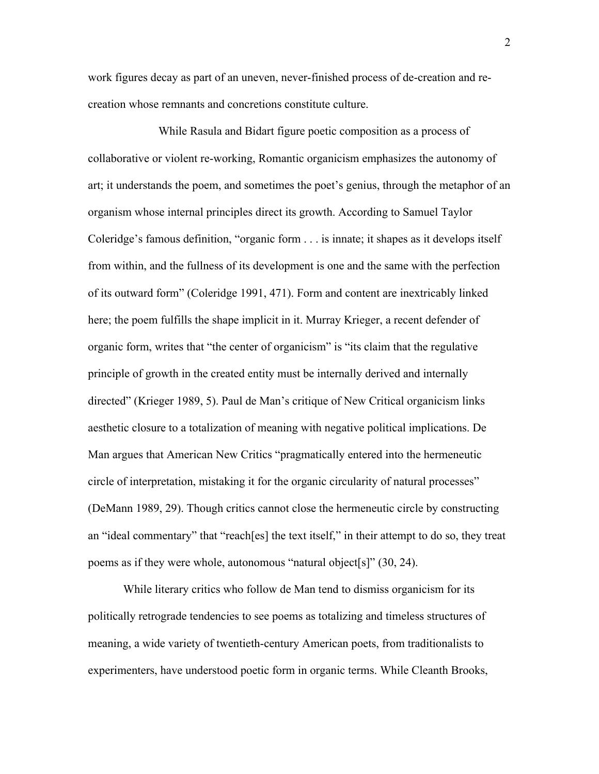work figures decay as part of an uneven, never-finished process of de-creation and recreation whose remnants and concretions constitute culture.

 While Rasula and Bidart figure poetic composition as a process of collaborative or violent re-working, Romantic organicism emphasizes the autonomy of art; it understands the poem, and sometimes the poet's genius, through the metaphor of an organism whose internal principles direct its growth. According to Samuel Taylor Coleridge's famous definition, "organic form . . . is innate; it shapes as it develops itself from within, and the fullness of its development is one and the same with the perfection of its outward form" (Coleridge 1991, 471). Form and content are inextricably linked here; the poem fulfills the shape implicit in it. Murray Krieger, a recent defender of organic form, writes that "the center of organicism" is "its claim that the regulative principle of growth in the created entity must be internally derived and internally directed" (Krieger 1989, 5). Paul de Man's critique of New Critical organicism links aesthetic closure to a totalization of meaning with negative political implications. De Man argues that American New Critics "pragmatically entered into the hermeneutic circle of interpretation, mistaking it for the organic circularity of natural processes" (DeMann 1989, 29). Though critics cannot close the hermeneutic circle by constructing an "ideal commentary" that "reach[es] the text itself," in their attempt to do so, they treat poems as if they were whole, autonomous "natural object[s]" (30, 24).

While literary critics who follow de Man tend to dismiss organicism for its politically retrograde tendencies to see poems as totalizing and timeless structures of meaning, a wide variety of twentieth-century American poets, from traditionalists to experimenters, have understood poetic form in organic terms. While Cleanth Brooks,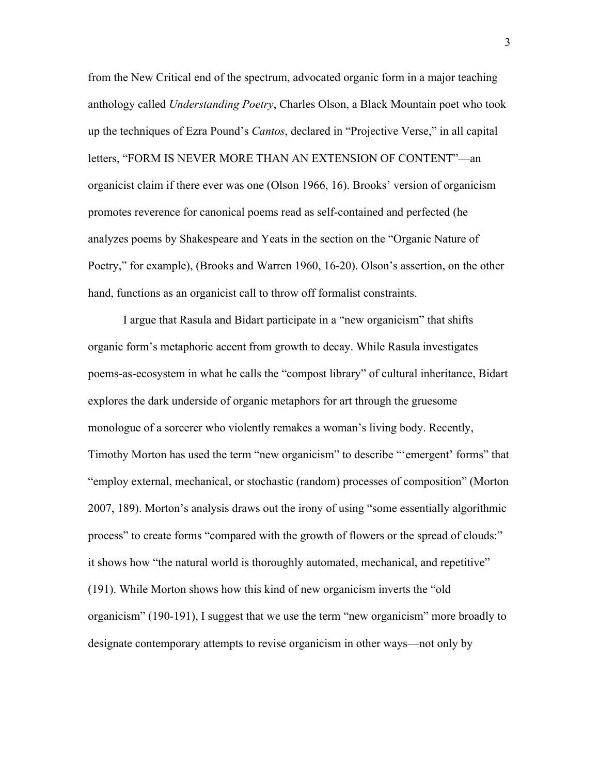from the New Critical end of the spectrum, advocated organic form in a major teaching anthology called *Understanding Poetry*, Charles Olson, a Black Mountain poet who took up the techniques of Ezra Pound's *Cantos*, declared in "Projective Verse," in all capital letters, "FORM IS NEVER MORE THAN AN EXTENSION OF CONTENT"—an organicist claim if there ever was one (Olson 1966, 16). Brooks' version of organicism promotes reverence for canonical poems read as self-contained and perfected (he analyzes poems by Shakespeare and Yeats in the section on the "Organic Nature of Poetry," for example), (Brooks and Warren 1960, 16-20). Olson's assertion, on the other hand, functions as an organicist call to throw off formalist constraints.

I argue that Rasula and Bidart participate in a "new organicism" that shifts organic form's metaphoric accent from growth to decay. While Rasula investigates poems-as-ecosystem in what he calls the "compost library" of cultural inheritance, Bidart explores the dark underside of organic metaphors for art through the gruesome monologue of a sorcerer who violently remakes a woman's living body. Recently, Timothy Morton has used the term "new organicism" to describe "'emergent' forms" that "employ external, mechanical, or stochastic (random) processes of composition" (Morton 2007, 189). Morton's analysis draws out the irony of using "some essentially algorithmic process" to create forms "compared with the growth of flowers or the spread of clouds:" it shows how "the natural world is thoroughly automated, mechanical, and repetitive" (191). While Morton shows how this kind of new organicism inverts the "old organicism" (190-191), I suggest that we use the term "new organicism" more broadly to designate contemporary attempts to revise organicism in other ways—not only by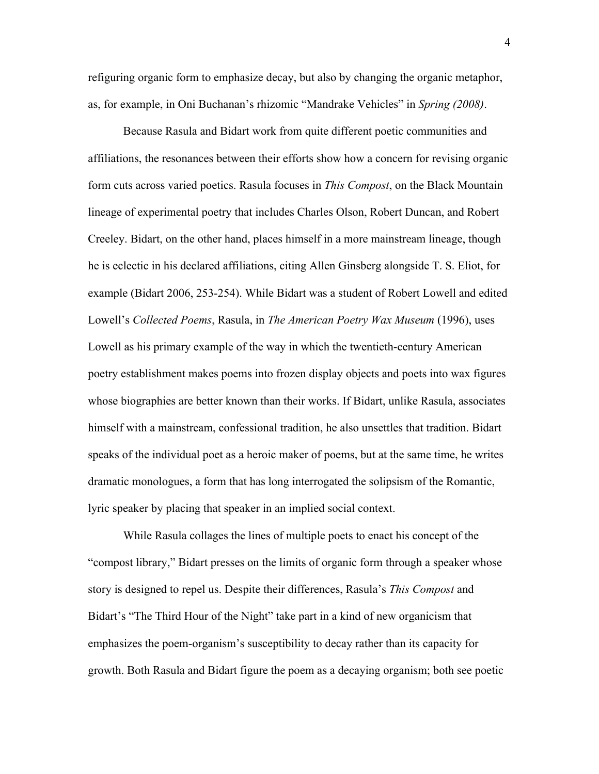refiguring organic form to emphasize decay, but also by changing the organic metaphor, as, for example, in Oni Buchanan's rhizomic "Mandrake Vehicles" in *Spring (2008)*.

Because Rasula and Bidart work from quite different poetic communities and affiliations, the resonances between their efforts show how a concern for revising organic form cuts across varied poetics. Rasula focuses in *This Compost*, on the Black Mountain lineage of experimental poetry that includes Charles Olson, Robert Duncan, and Robert Creeley. Bidart, on the other hand, places himself in a more mainstream lineage, though he is eclectic in his declared affiliations, citing Allen Ginsberg alongside T. S. Eliot, for example (Bidart 2006, 253-254). While Bidart was a student of Robert Lowell and edited Lowell's *Collected Poems*, Rasula, in *The American Poetry Wax Museum* (1996), uses Lowell as his primary example of the way in which the twentieth-century American poetry establishment makes poems into frozen display objects and poets into wax figures whose biographies are better known than their works. If Bidart, unlike Rasula, associates himself with a mainstream, confessional tradition, he also unsettles that tradition. Bidart speaks of the individual poet as a heroic maker of poems, but at the same time, he writes dramatic monologues, a form that has long interrogated the solipsism of the Romantic, lyric speaker by placing that speaker in an implied social context.

While Rasula collages the lines of multiple poets to enact his concept of the "compost library," Bidart presses on the limits of organic form through a speaker whose story is designed to repel us. Despite their differences, Rasula's *This Compost* and Bidart's "The Third Hour of the Night" take part in a kind of new organicism that emphasizes the poem-organism's susceptibility to decay rather than its capacity for growth. Both Rasula and Bidart figure the poem as a decaying organism; both see poetic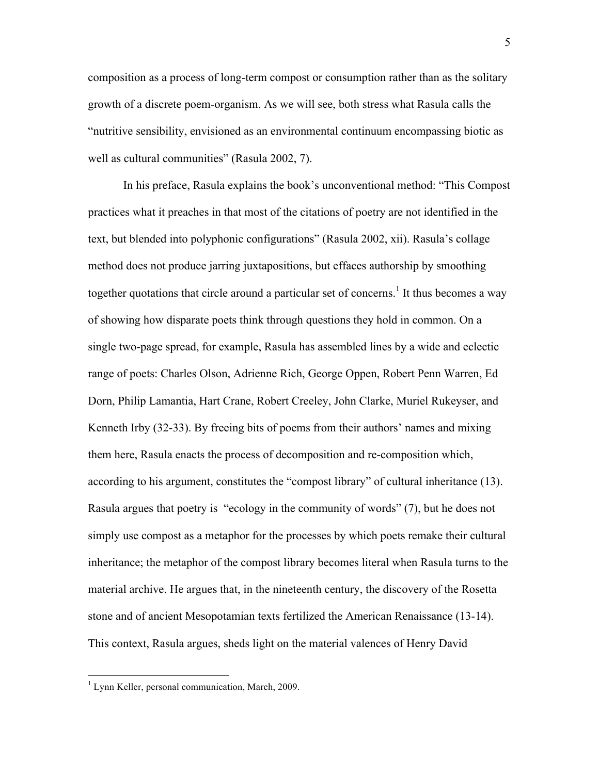composition as a process of long-term compost or consumption rather than as the solitary growth of a discrete poem-organism. As we will see, both stress what Rasula calls the "nutritive sensibility, envisioned as an environmental continuum encompassing biotic as well as cultural communities" (Rasula 2002, 7).

In his preface, Rasula explains the book's unconventional method: "This Compost practices what it preaches in that most of the citations of poetry are not identified in the text, but blended into polyphonic configurations" (Rasula 2002, xii). Rasula's collage method does not produce jarring juxtapositions, but effaces authorship by smoothing together quotations that circle around a particular set of concerns.<sup>1</sup> It thus becomes a way of showing how disparate poets think through questions they hold in common. On a single two-page spread, for example, Rasula has assembled lines by a wide and eclectic range of poets: Charles Olson, Adrienne Rich, George Oppen, Robert Penn Warren, Ed Dorn, Philip Lamantia, Hart Crane, Robert Creeley, John Clarke, Muriel Rukeyser, and Kenneth Irby (32-33). By freeing bits of poems from their authors' names and mixing them here, Rasula enacts the process of decomposition and re-composition which, according to his argument, constitutes the "compost library" of cultural inheritance (13). Rasula argues that poetry is "ecology in the community of words" (7), but he does not simply use compost as a metaphor for the processes by which poets remake their cultural inheritance; the metaphor of the compost library becomes literal when Rasula turns to the material archive. He argues that, in the nineteenth century, the discovery of the Rosetta stone and of ancient Mesopotamian texts fertilized the American Renaissance (13-14). This context, Rasula argues, sheds light on the material valences of Henry David

 $1$  Lynn Keller, personal communication, March, 2009.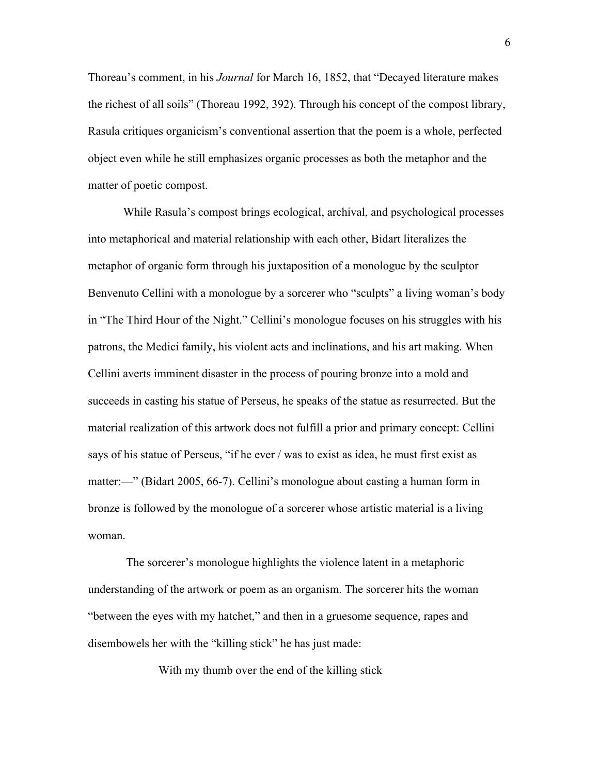Thoreau's comment, in his *Journal* for March 16, 1852, that "Decayed literature makes the richest of all soils" (Thoreau 1992, 392). Through his concept of the compost library, Rasula critiques organicism's conventional assertion that the poem is a whole, perfected object even while he still emphasizes organic processes as both the metaphor and the matter of poetic compost.

While Rasula's compost brings ecological, archival, and psychological processes into metaphorical and material relationship with each other, Bidart literalizes the metaphor of organic form through his juxtaposition of a monologue by the sculptor Benvenuto Cellini with a monologue by a sorcerer who "sculpts" a living woman's body in "The Third Hour of the Night." Cellini's monologue focuses on his struggles with his patrons, the Medici family, his violent acts and inclinations, and his art making. When Cellini averts imminent disaster in the process of pouring bronze into a mold and succeeds in casting his statue of Perseus, he speaks of the statue as resurrected. But the material realization of this artwork does not fulfill a prior and primary concept: Cellini says of his statue of Perseus, "if he ever / was to exist as idea, he must first exist as matter:—" (Bidart 2005, 66-7). Cellini's monologue about casting a human form in bronze is followed by the monologue of a sorcerer whose artistic material is a living woman.

 The sorcerer's monologue highlights the violence latent in a metaphoric understanding of the artwork or poem as an organism. The sorcerer hits the woman "between the eyes with my hatchet," and then in a gruesome sequence, rapes and disembowels her with the "killing stick" he has just made:

With my thumb over the end of the killing stick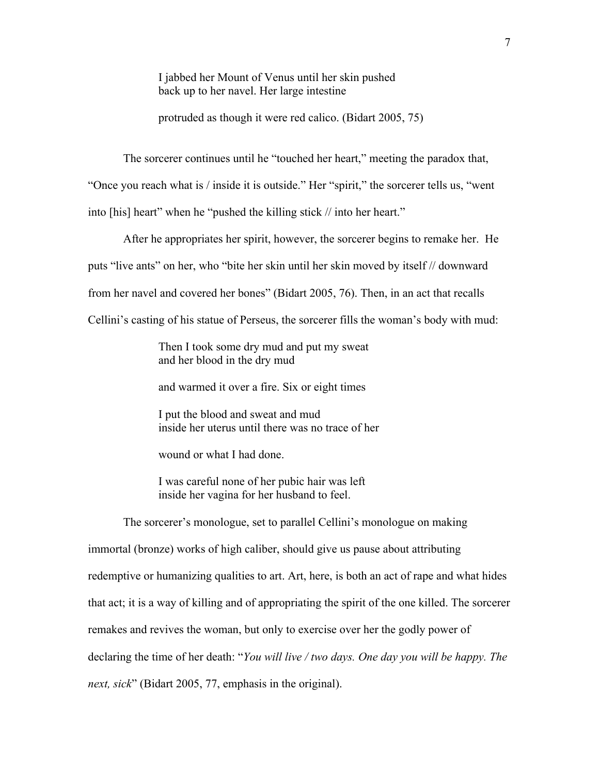I jabbed her Mount of Venus until her skin pushed back up to her navel. Her large intestine

protruded as though it were red calico. (Bidart 2005, 75)

The sorcerer continues until he "touched her heart," meeting the paradox that,

"Once you reach what is / inside it is outside." Her "spirit," the sorcerer tells us, "went

into [his] heart" when he "pushed the killing stick // into her heart."

After he appropriates her spirit, however, the sorcerer begins to remake her. He puts "live ants" on her, who "bite her skin until her skin moved by itself // downward from her navel and covered her bones" (Bidart 2005, 76). Then, in an act that recalls Cellini's casting of his statue of Perseus, the sorcerer fills the woman's body with mud:

> Then I took some dry mud and put my sweat and her blood in the dry mud

and warmed it over a fire. Six or eight times

 I put the blood and sweat and mud inside her uterus until there was no trace of her

wound or what I had done.

 I was careful none of her pubic hair was left inside her vagina for her husband to feel.

The sorcerer's monologue, set to parallel Cellini's monologue on making immortal (bronze) works of high caliber, should give us pause about attributing redemptive or humanizing qualities to art. Art, here, is both an act of rape and what hides that act; it is a way of killing and of appropriating the spirit of the one killed. The sorcerer remakes and revives the woman, but only to exercise over her the godly power of declaring the time of her death: "*You will live / two days. One day you will be happy. The next, sick*" (Bidart 2005, 77, emphasis in the original).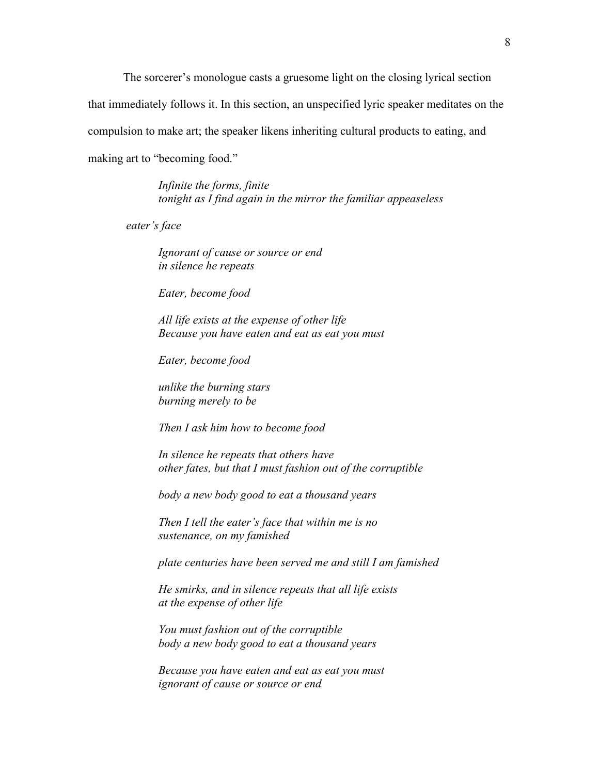The sorcerer's monologue casts a gruesome light on the closing lyrical section

that immediately follows it. In this section, an unspecified lyric speaker meditates on the

compulsion to make art; the speaker likens inheriting cultural products to eating, and

making art to "becoming food."

 *Infinite the forms, finite tonight as I find again in the mirror the familiar appeaseless* 

 *eater's face* 

 *Ignorant of cause or source or end in silence he repeats* 

 *Eater, become food* 

 *All life exists at the expense of other life Because you have eaten and eat as eat you must* 

 *Eater, become food* 

 *unlike the burning stars burning merely to be* 

 *Then I ask him how to become food* 

 *In silence he repeats that others have other fates, but that I must fashion out of the corruptible* 

 *body a new body good to eat a thousand years* 

 *Then I tell the eater's face that within me is no sustenance, on my famished* 

 *plate centuries have been served me and still I am famished* 

 *He smirks, and in silence repeats that all life exists at the expense of other life* 

 *You must fashion out of the corruptible body a new body good to eat a thousand years* 

 *Because you have eaten and eat as eat you must ignorant of cause or source or end*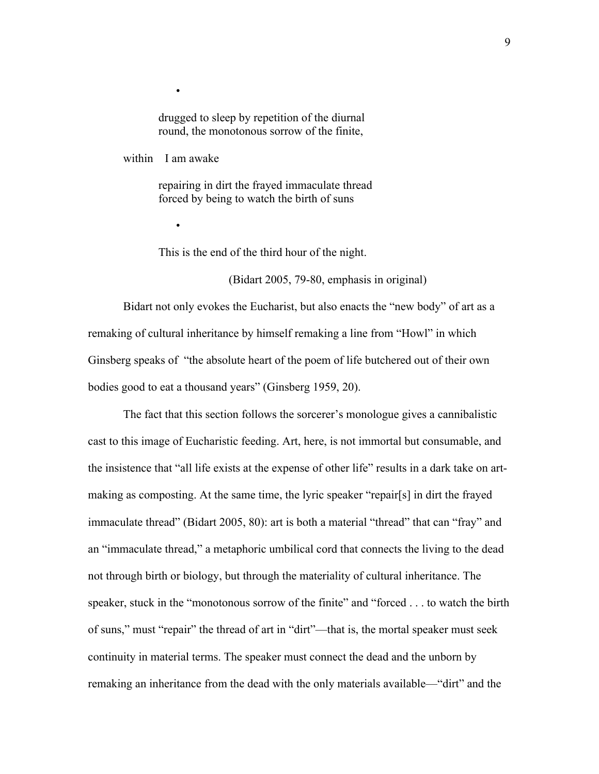drugged to sleep by repetition of the diurnal round, the monotonous sorrow of the finite,

within I am awake

•

•

 repairing in dirt the frayed immaculate thread forced by being to watch the birth of suns

This is the end of the third hour of the night.

(Bidart 2005, 79-80, emphasis in original)

Bidart not only evokes the Eucharist, but also enacts the "new body" of art as a remaking of cultural inheritance by himself remaking a line from "Howl" in which Ginsberg speaks of "the absolute heart of the poem of life butchered out of their own bodies good to eat a thousand years" (Ginsberg 1959, 20).

The fact that this section follows the sorcerer's monologue gives a cannibalistic cast to this image of Eucharistic feeding. Art, here, is not immortal but consumable, and the insistence that "all life exists at the expense of other life" results in a dark take on artmaking as composting. At the same time, the lyric speaker "repair[s] in dirt the frayed immaculate thread" (Bidart 2005, 80): art is both a material "thread" that can "fray" and an "immaculate thread," a metaphoric umbilical cord that connects the living to the dead not through birth or biology, but through the materiality of cultural inheritance. The speaker, stuck in the "monotonous sorrow of the finite" and "forced . . . to watch the birth of suns," must "repair" the thread of art in "dirt"—that is, the mortal speaker must seek continuity in material terms. The speaker must connect the dead and the unborn by remaking an inheritance from the dead with the only materials available—"dirt" and the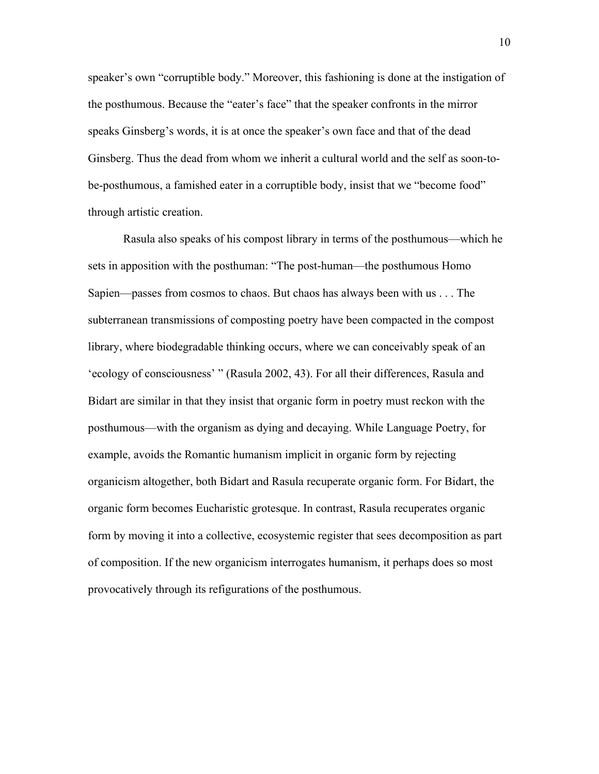speaker's own "corruptible body." Moreover, this fashioning is done at the instigation of the posthumous. Because the "eater's face" that the speaker confronts in the mirror speaks Ginsberg's words, it is at once the speaker's own face and that of the dead Ginsberg. Thus the dead from whom we inherit a cultural world and the self as soon-tobe-posthumous, a famished eater in a corruptible body, insist that we "become food" through artistic creation.

Rasula also speaks of his compost library in terms of the posthumous—which he sets in apposition with the posthuman: "The post-human—the posthumous Homo Sapien—passes from cosmos to chaos. But chaos has always been with us . . . The subterranean transmissions of composting poetry have been compacted in the compost library, where biodegradable thinking occurs, where we can conceivably speak of an 'ecology of consciousness' " (Rasula 2002, 43). For all their differences, Rasula and Bidart are similar in that they insist that organic form in poetry must reckon with the posthumous—with the organism as dying and decaying. While Language Poetry, for example, avoids the Romantic humanism implicit in organic form by rejecting organicism altogether, both Bidart and Rasula recuperate organic form. For Bidart, the organic form becomes Eucharistic grotesque. In contrast, Rasula recuperates organic form by moving it into a collective, ecosystemic register that sees decomposition as part of composition. If the new organicism interrogates humanism, it perhaps does so most provocatively through its refigurations of the posthumous.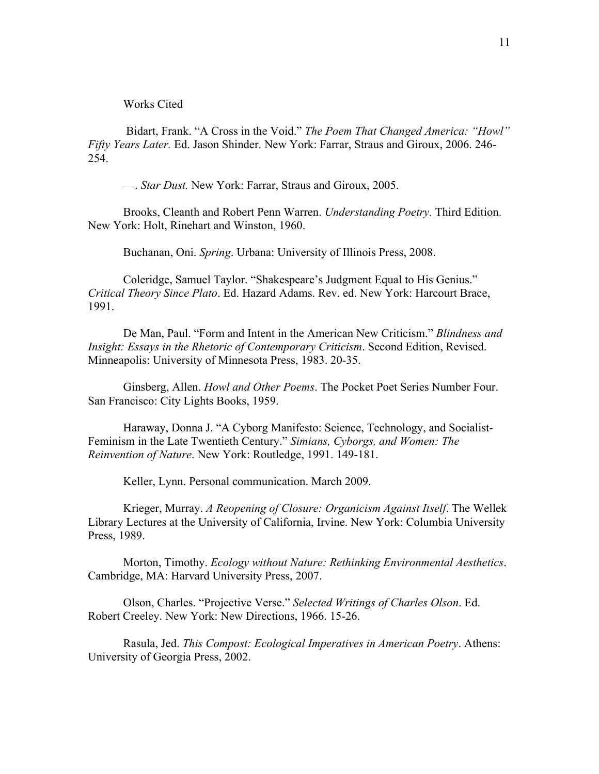Works Cited

 Bidart, Frank. "A Cross in the Void." *The Poem That Changed America: "Howl" Fifty Years Later.* Ed. Jason Shinder. New York: Farrar, Straus and Giroux, 2006. 246- 254.

—. *Star Dust.* New York: Farrar, Straus and Giroux, 2005.

Brooks, Cleanth and Robert Penn Warren. *Understanding Poetry.* Third Edition. New York: Holt, Rinehart and Winston, 1960.

Buchanan, Oni. *Spring*. Urbana: University of Illinois Press, 2008.

Coleridge, Samuel Taylor. "Shakespeare's Judgment Equal to His Genius." *Critical Theory Since Plato*. Ed. Hazard Adams. Rev. ed. New York: Harcourt Brace, 1991.

De Man, Paul. "Form and Intent in the American New Criticism." *Blindness and Insight: Essays in the Rhetoric of Contemporary Criticism*. Second Edition, Revised. Minneapolis: University of Minnesota Press, 1983. 20-35.

Ginsberg, Allen. *Howl and Other Poems*. The Pocket Poet Series Number Four. San Francisco: City Lights Books, 1959.

Haraway, Donna J. "A Cyborg Manifesto: Science, Technology, and Socialist-Feminism in the Late Twentieth Century." *Simians, Cyborgs, and Women: The Reinvention of Nature*. New York: Routledge, 1991. 149-181.

Keller, Lynn. Personal communication. March 2009.

Krieger, Murray. *A Reopening of Closure: Organicism Against Itself*. The Wellek Library Lectures at the University of California, Irvine. New York: Columbia University Press, 1989.

Morton, Timothy. *Ecology without Nature: Rethinking Environmental Aesthetics*. Cambridge, MA: Harvard University Press, 2007.

Olson, Charles. "Projective Verse." *Selected Writings of Charles Olson*. Ed. Robert Creeley. New York: New Directions, 1966. 15-26.

Rasula, Jed. *This Compost: Ecological Imperatives in American Poetry*. Athens: University of Georgia Press, 2002.